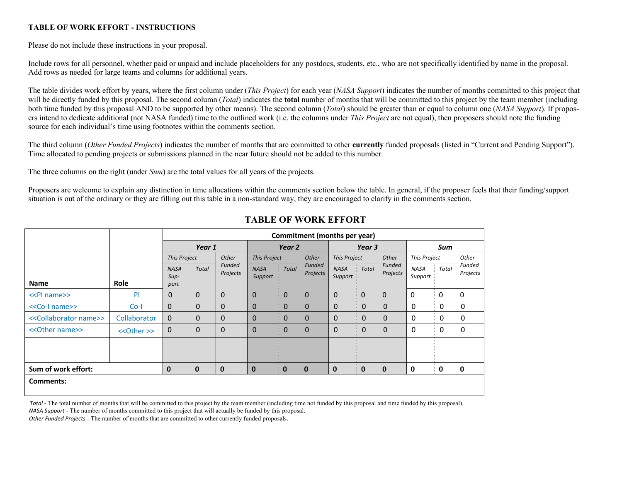## **TABLE OF WORK EFFORT - INSTRUCTIONS**

Please do not include these instructions in your proposal.

 Include rows for all personnel, whether paid or unpaid and include placeholders for any postdocs, students, etc., who are not specifically identified by name in the proposal. Add rows as needed for large teams and columns for additional years.

 The table divides work effort by years, where the first column under (*This Project*) for each year (*NASA Support*) indicates the number of months committed to this project that will be directly funded by this proposal. The second column (*Total*) indicates the **total** number of months that will be committed to this project by the team member (including both time funded by this proposal AND to be supported by other means). The second column (*Total*) should be greater than or equal to column one (*NASA Support*). If propos- ers intend to dedicate additional (not NASA funded) time to the outlined work (i.e. the columns under *This Project* are not equal), then proposers should note the funding source for each individual's time using footnotes within the comments section.

 The third column (*Other Funded Projects*) indicates the number of months that are committed to other **currently** funded proposals (listed in "Current and Pending Support"). Time allocated to pending projects or submissions planned in the near future should not be added to this number.

The three columns on the right (under *Sum*) are the total values for all years of the projects.

Proposers are welcome to explain any distinction in time allocations within the comments section below the table. In general, if the proposer feels that their funding/support situation is out of the ordinary or they are filling out this table in a non-standard way, they are encouraged to clarify in the comments section.

|                                             |              | Commitment (months per year)  |                          |                    |                              |              |                           |                        |                         |                    |                 |                            |                    |  |
|---------------------------------------------|--------------|-------------------------------|--------------------------|--------------------|------------------------------|--------------|---------------------------|------------------------|-------------------------|--------------------|-----------------|----------------------------|--------------------|--|
|                                             |              | Year 1                        |                          |                    | Year 2                       |              |                           | Year 3                 |                         |                    | Sum             |                            |                    |  |
|                                             |              | Other<br><b>This Project</b>  |                          |                    | <b>This Project</b><br>Other |              | <b>This Project</b>       |                        | Other                   | This Project       |                 | Other                      |                    |  |
| <b>Name</b>                                 | <b>Role</b>  | <b>NASA</b><br>$Sup-$<br>port | Total                    | Funded<br>Projects | <b>NASA</b><br>Support       | <b>Total</b> | <b>Funded</b><br>Projects | <b>NASA</b><br>Support | Total                   | Funded<br>Projects | NASA<br>Support | Total                      | Funded<br>Projects |  |
| < <pl name="">&gt;</pl>                     | PI           | $\mathbf 0$                   | $\mathbf 0$              | $\mathbf 0$        | $\mathbf 0$                  | $\mathbf 0$  | $\mathbf 0$               | $\mathbf{0}$           | $\mathbf 0$             | $\mathbf 0$        | 0               | $\cdot$ 0                  | 0                  |  |
| < <co-l name="">&gt;</co-l>                 | $Co-I$       | $\mathbf 0$                   | 0                        | $\mathbf 0$        | $\mathbf 0$                  | $\mathbf 0$  | $\Omega$                  | $\mathbf{0}$           | $\mathbf 0$             | $\Omega$           | 0               | $\overline{\phantom{0}}$   | 0                  |  |
| < <collaborator name="">&gt;</collaborator> | Collaborator | $\mathbf{0}$                  | $\mathbf 0$              | $\mathbf 0$        | $\mathbf 0$                  | $\mathbf 0$  | $\mathbf{0}$              | $\mathbf{0}$           | $\mathbf{0}$            | $\Omega$           | 0               | : 0                        | 0                  |  |
| << Other name>>                             | << Other >>  | $\mathbf 0$                   | $\overline{\phantom{0}}$ | $\mathbf 0$        | $\mathbf 0$                  | 0            | $\mathbf{0}$              | $\mathbf 0$            | $\overline{0}$<br>л.    | $\Omega$           | 0               | $\overline{\phantom{0}}$ 0 | 0                  |  |
|                                             |              |                               |                          |                    |                              |              |                           |                        |                         |                    |                 |                            |                    |  |
|                                             |              |                               |                          |                    |                              |              |                           |                        |                         |                    |                 |                            |                    |  |
| Sum of work effort:                         |              | 0                             | $\blacksquare$           | $\mathbf 0$        | $\bf{0}$                     | $\bullet$    | $\mathbf{0}$              | $\mathbf 0$            | $\overline{\mathbf{0}}$ | $\mathbf 0$        | 0               | $\blacksquare$             | $\mathbf{0}$       |  |
| Comments:                                   |              |                               |                          |                    |                              |              |                           |                        |                         |                    |                 |                            |                    |  |

## **TABLE OF WORK EFFORT**

*Total* - The total number of months that will be committed to this project by the team member (including time not funded by this proposal and time funded by this proposal).

*NASA Support* - The number of months committed to this project that will actually be funded by this proposal.

*Other Funded Projects* - The number of months that are committed to other currently funded proposals.